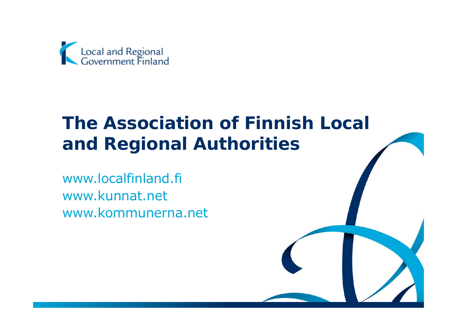

# **The Association of Finnish Local and Regional Authorities**

www.localfinland.fi www.kunnat.net www.kommunerna.net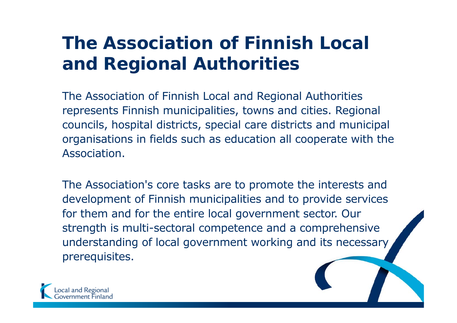# **The Association of Finnish Local and Regional Authorities**

The Association of Finnish Local and Regional Authorities represents Finnish municipalities, towns and cities. Regional councils, hospital districts, special care districts and municipal organisations in fields such as education all cooperate with the Association.

The Association's core tasks are to promote the interests and development of Finnish municipalities and to provide services for them and for the entire local government sector. Our strength is multi-sectoral competence and a comprehensive understanding of local government working and its necessary prerequisites.

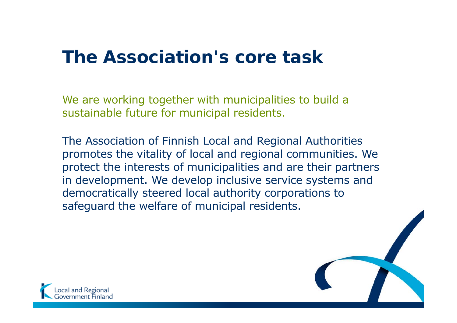# **The Association's core task**

We are working together with municipalities to build a sustainable future for municipal residents.

The Association of Finnish Local and Regional Authorities promotes the vitality of local and regional communities. We protect the interests of municipalities and are their partners in development. We develop inclusive service systems and democratically steered local authority corporations to safeguard the welfare of municipal residents.

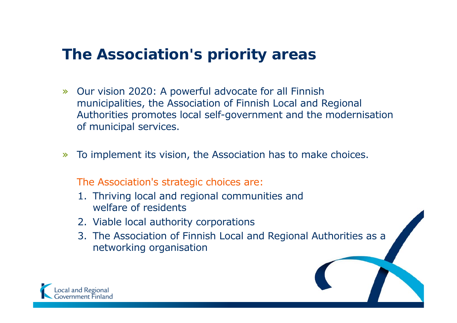# **The Association's priority areas**

- » Our vision 2020: A powerful advocate for all Finnish municipalities, the Association of Finnish Local and Regional Authorities promotes local self-government and the modernisation of municipal services.
- »To implement its vision, the Association has to make choices.

The Association's strategic choices are:

- 1. Thriving local and regional communities and welfare of residents
- 2. Viable local authority corporations
- 3. The Association of Finnish Local and Regional Authorities as a networking organisation

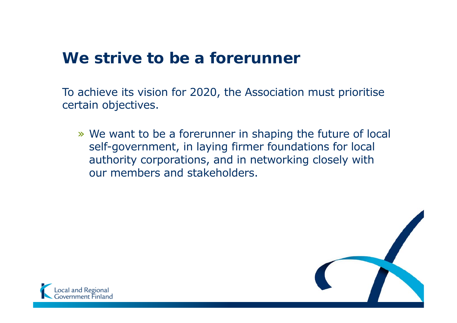# **We strive to be a forerunner**

To achieve its vision for 2020, the Association must prioritise certain objectives.

» We want to be a forerunner in shaping the future of local self-government, in laying firmer foundations for local authority corporations, and in networking closely with our members and stakeholders.



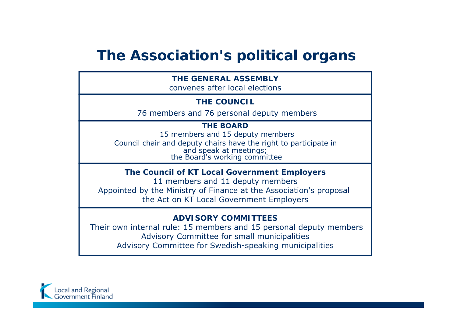## **The Association's political organs**

| <b>THE GENERAL ASSEMBLY</b><br>convenes after local elections                                                                                                                       |  |  |  |
|-------------------------------------------------------------------------------------------------------------------------------------------------------------------------------------|--|--|--|
| <b>THE COUNCIL</b>                                                                                                                                                                  |  |  |  |
| 76 members and 76 personal deputy members                                                                                                                                           |  |  |  |
| <b>THE BOARD</b><br>15 members and 15 deputy members<br>Council chair and deputy chairs have the right to participate in<br>and speak at meetings;<br>the Board's working committee |  |  |  |
| The Council of KT Local Government Employers                                                                                                                                        |  |  |  |

11 members and 11 deputy members Appointed by the Ministry of Finance at the Association's proposal the Act on KT Local Government Employers

#### **ADVISORY COMMITTEES**

Their own internal rule: 15 members and 15 personal deputy members Advisory Committee for small municipalities Advisory Committee for Swedish-speaking municipalities

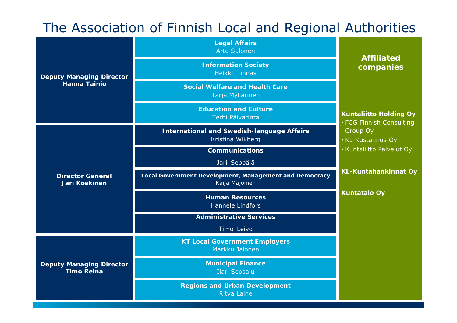## The Association of Finnish Local and Regional Authorities

| <b>Deputy Managing Director</b><br><b>Hanna Tainio</b> | <b>Legal Affairs</b><br><b>Arto Sulonen</b>                              | <b>Affiliated</b>                                         |
|--------------------------------------------------------|--------------------------------------------------------------------------|-----------------------------------------------------------|
|                                                        | <b>Information Society</b><br>Heikki Lunnas                              | companies                                                 |
|                                                        | <b>Social Welfare and Health Care</b><br>Tarja Myllärinen                |                                                           |
|                                                        | <b>Education and Culture</b><br>Terhi Päivärinta                         | <b>Kuntaliitto Holding Oy</b><br>· FCG Finnish Consulting |
| <b>Director General</b><br><b>Jari Koskinen</b>        | <b>International and Swedish-language Affairs</b><br>Kristina Wikberg    | Group Oy<br>• KL-Kustannus Oy                             |
|                                                        | <b>Communications</b>                                                    | · Kuntaliitto Palvelut Oy                                 |
|                                                        | Jari Seppälä                                                             |                                                           |
|                                                        | Local Government Development, Management and Democracy<br>Kaija Majoinen | <b>KL-Kuntahankinnat Oy</b>                               |
|                                                        | <b>Human Resources</b><br><b>Hannele Lindfors</b>                        | <b>Kuntatalo Oy</b>                                       |
|                                                        | <b>Administrative Services</b>                                           |                                                           |
|                                                        | Timo Leivo                                                               |                                                           |
| <b>Deputy Managing Director</b><br><b>Timo Reina</b>   | <b>KT Local Government Employers</b><br>Markku Jalonen                   |                                                           |
|                                                        | <b>Municipal Finance</b><br><b>Ilari Soosalu</b>                         |                                                           |
|                                                        | <b>Regions and Urban Development</b><br><b>Ritva Laine</b>               |                                                           |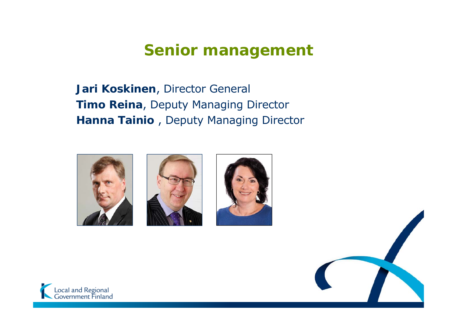# **Senior management**

**Jari Koskinen**, Director General **Timo Reina**, Deputy Managing Director **Hanna Tainio** , Deputy Managing Director









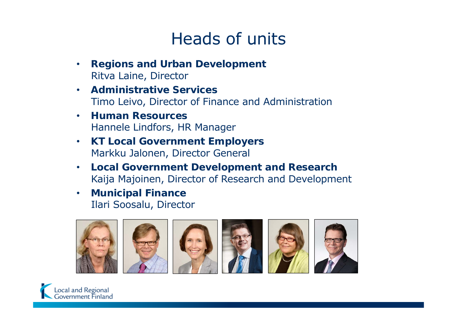# Heads of units

- • **Regions and Urban Development** Ritva Laine, Director
- • **Administrative Services**Timo Leivo, Director of Finance and Administration
- • **Human Resources**Hannele Lindfors, HR Manager
- $\bullet$  **KT Local Government Employers** Markku Jalonen, Director General
- $\bullet$  **Local Government Development and Research** Kaija Majoinen, Director of Research and Development
- • **Municipal Finance** Ilari Soosalu, Director



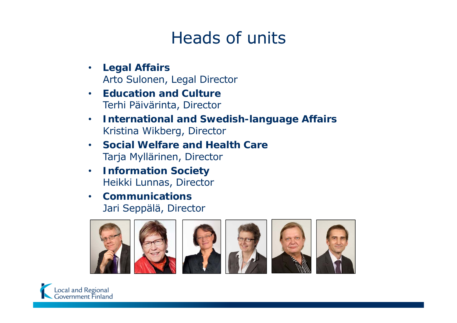# Heads of units

- $\bullet$  **Legal Affairs** Arto Sulonen, Legal Director
- • **Education and Culture**Terhi Päivärinta, Director
- $\bullet$  **International and Swedish-language Affairs** Kristina Wikberg, Director
- • **Social Welfare and Health Care**Tarja Myllärinen, Director
- $\bullet$  **Information Society** Heikki Lunnas, Director
- • **Communications**Jari Seppälä, Director



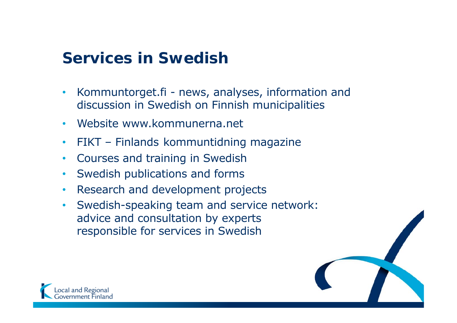# **Services in Swedish**

- • Kommuntorget.fi - news, analyses, information and discussion in Swedish on Finnish municipalities
- •Website www.kommunerna.net
- •• FIKT - Finlands kommuntidning magazine
- •Courses and training in Swedish
- •Swedish publications and forms
- $\bullet$ Research and development projects
- • Swedish-speaking team and service network: advice and consultation by experts responsible for services in Swedish



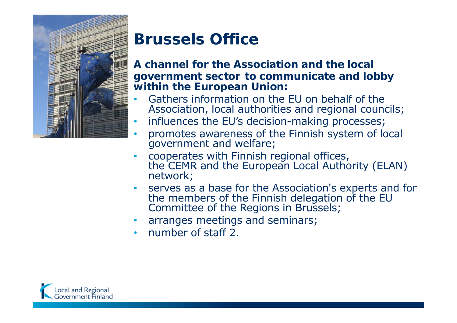

# **Brussels Office**

### **A channel for the Association and the localgovernment sector to communicate and lobby within the European Union:**

- • Gathers information on the EU on behalf of the Association, local authorities and regional councils;
- •influences the EU's decision-making processes;
- •promotes awareness of the Finnish system of local government and welfare;
- •cooperates with Finnish regional offices, the CEMR and the European Local Authority (ELAN) network;
- •serves as a base for the Association's experts and for the members of the Finnish delegation of the EU Committee of the Regions in Brussels;
- arranges meetings and seminars;
- number of staff 2.

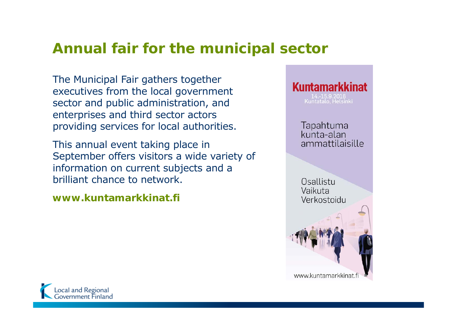## **Annual fair for the municipal sector**

The Municipal Fair gathers together executives from the local government sector and public administration, and enterprises and third sector actors providing services for local authorities.

This annual event taking place in September offers visitors a wide variety of information on current subjects and a brilliant chance to network.

**www.kuntamarkkinat.fi**



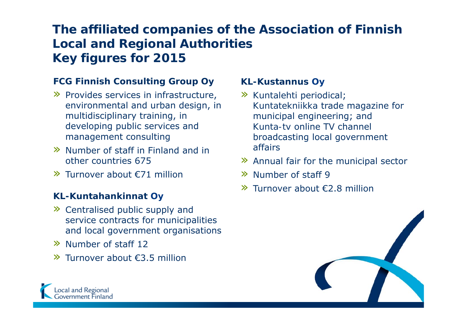## **The affiliated companies of the Association of Finnish Local and Regional Authorities Key figures for 2015**

### **FCG Finnish Consulting Group Oy**

- » Provides services in infrastructure, environmental and urban design, in multidisciplinary training, in developing public services and management consulting
- » Number of staff in Finland and in other countries 675
- » Turnover about €71 million

### **KL-Kuntahankinnat Oy**

- » Centralised public supply and service contracts for municipalities and local government organisations
- » Number of staff 12
- » Turnover about €3.5 million

### **KL-Kustannus Oy**

- » *Kuntalehti* periodical; *Kuntatekniikka* trade magazine for municipal engineering; and *Kunta-tv* online TV channel broadcasting local government affairs
- » Annual fair for the municipal sector
- » Number of staff 9
- » Turnover about €2.8 million



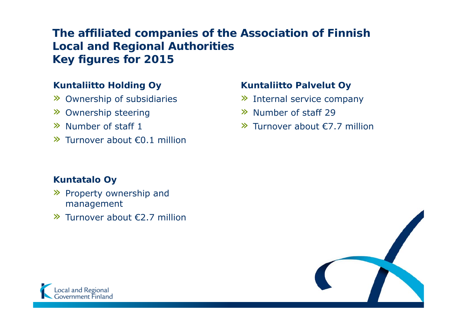### **The affiliated companies of the Association of Finnish Local and Regional Authorities Key figures for 2015**

### **Kuntaliitto Holding Oy**

- » Ownership of subsidiaries
- » Ownership steering
- » Number of staff 1
- » Turnover about €0.1 million

### **Kuntatalo Oy**

- » Property ownership and management
- » Turnover about €2.7 million

### **Kuntaliitto Palvelut Oy**

- » Internal service company
- » Number of staff 29
- » Turnover about €7.7 million